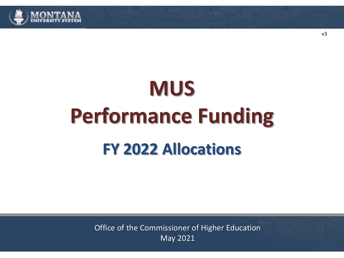

# **MUS Performance Funding FY 2022 Allocations**

Office of the Commissioner of Higher Education May 2021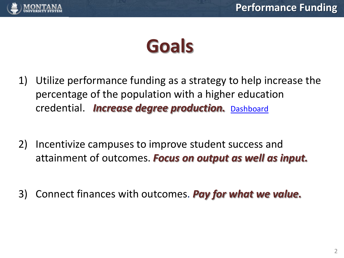

# **Goals**

- 1) Utilize performance funding as a strategy to help increase the percentage of the population with a higher education credential. *Increase degree production.* [Dashboard](http://www.mus.edu/data/dashboards/degrees.asp)
- 2) Incentivize campuses to improve student success and attainment of outcomes. *Focus on output as well as input.*
- 3) Connect finances with outcomes. *Pay for what we value.*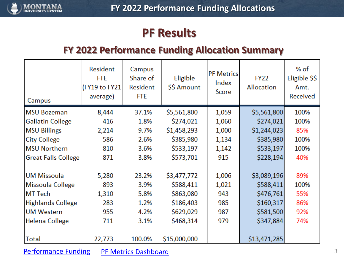<span id="page-2-0"></span>

### **PF Results**

#### **FY 2022 Performance Funding Allocation Summary**

| Campus                     | <b>Resident</b><br><b>FTE</b><br>(FY19 to FY21<br>average) | Campus<br>Share of<br><b>Resident</b><br><b>FTE</b> | Eligible<br>\$\$ Amount | <b>PF Metrics</b><br>Index<br>Score | <b>FY22</b><br>Allocation | % of<br>Eligible \$\$<br>Amt.<br>Received |
|----------------------------|------------------------------------------------------------|-----------------------------------------------------|-------------------------|-------------------------------------|---------------------------|-------------------------------------------|
| <b>MSU Bozeman</b>         | 8,444                                                      | 37.1%                                               | \$5,561,800             | 1,059                               | \$5,561,800               | 100%                                      |
| <b>Gallatin College</b>    | 416                                                        | 1.8%                                                | \$274,021               | 1,060                               | \$274,021                 | 100%                                      |
| <b>MSU Billings</b>        | 2,214                                                      | 9.7%                                                | \$1,458,293             | 1,000                               | \$1,244,023               | 85%                                       |
| <b>City College</b>        | 586                                                        | 2.6%                                                | \$385,980               | 1,134                               | \$385,980                 | 100%                                      |
| <b>MSU Northern</b>        | 810                                                        | 3.6%                                                | \$533,197               | 1,142                               | \$533,197                 | 100%                                      |
| <b>Great Falls College</b> | 871                                                        | 3.8%                                                | \$573,701               | 915                                 | \$228,194                 | 40%                                       |
|                            |                                                            |                                                     |                         |                                     |                           |                                           |
| <b>UM Missoula</b>         | 5,280                                                      | 23.2%                                               | \$3,477,772             | 1,006                               | \$3,089,196               | 89%                                       |
| Missoula College           | 893                                                        | 3.9%                                                | \$588,411               | 1,021                               | \$588,411                 | 100%                                      |
| <b>MT</b> Tech             | 1,310                                                      | 5.8%                                                | \$863,080               | 943                                 | \$476,761                 | 55%                                       |
| <b>Highlands College</b>   | 283                                                        | 1.2%                                                | \$186,403               | 985                                 | \$160,317                 | 86%                                       |
| <b>UM Western</b>          | 955                                                        | 4.2%                                                | \$629,029               | 987                                 | \$581,500                 | 92%                                       |
| Helena College             | 711                                                        | 3.1%                                                | \$468,314               | 979                                 | \$347,884                 | 74%                                       |
| Total                      | 22,773                                                     | 100.0%                                              | \$15,000,000            |                                     | \$13,471,285              |                                           |

[Performance Funding](https://www.mus.edu/data/performancefunding/default.asp) [PF Metrics Dashboard](https://www.mus.edu/data/performancefunding/dashboards/default.asp)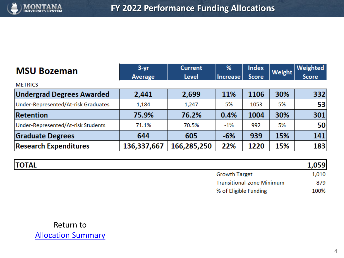

| <b>MSU Bozeman</b>                  | $3 - yr$    | <b>Current</b> | %               | <b>Index</b> | Weight | Weighted     |
|-------------------------------------|-------------|----------------|-----------------|--------------|--------|--------------|
|                                     | Average     | Level          | <b>Increase</b> | <b>Score</b> |        | <b>Score</b> |
| <b>METRICS</b>                      |             |                |                 |              |        |              |
| <b>Undergrad Degrees Awarded</b>    | 2,441       | 2,699          | 11%             | 1106         | 30%    | 332          |
| Under-Represented/At-risk Graduates | 1,184       | 1,247          | 5%              | 1053         | 5%     | 53           |
| Retention                           | 75.9%       | 76.2%          | 0.4%            | 1004         | 30%    | 301          |
| Under-Represented/At-risk Students  | 71.1%       | 70.5%          | $-1%$           | 992          | 5%     | 50           |
| <b>Graduate Degrees</b>             | 644         | 605            | $-6%$           | 939          | 15%    | 141          |
| <b>Research Expenditures</b>        | 136,337,667 | 166,285,250    | 22%             | 1220         | 15%    | 183          |

| <b>TOTAL</b> |                                  | 1,059 |
|--------------|----------------------------------|-------|
|              | <b>Growth Target</b>             | 1,010 |
|              | <b>Transitional-zone Minimum</b> | 879   |
|              | % of Eligible Funding            | 100%  |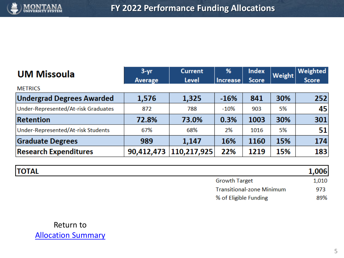

| <b>UM Missoula</b>                  | $3 - yr$       | <b>Current</b> | %               | <b>Index</b> | Weight | Weighted     |
|-------------------------------------|----------------|----------------|-----------------|--------------|--------|--------------|
|                                     | <b>Average</b> | Level          | <b>Increase</b> | <b>Score</b> |        | <b>Score</b> |
| <b>METRICS</b>                      |                |                |                 |              |        |              |
| <b>Undergrad Degrees Awarded</b>    | 1,576          | 1,325          | $-16%$          | 841          | 30%    | 252          |
| Under-Represented/At-risk Graduates | 872            | 788            | $-10%$          | 903          | 5%     | 45           |
| Retention                           | 72.8%          | 73.0%          | 0.3%            | 1003         | 30%    | 301          |
| Under-Represented/At-risk Students  | 67%            | 68%            | 2%              | 1016         | 5%     | 51           |
| <b>Graduate Degrees</b>             | 989            | 1,147          | 16%             | 1160         | 15%    | 174          |
| <b>Research Expenditures</b>        | 90,412,473     | 110,217,925    | 22%             | 1219         | 15%    | 183          |

| <b>TOTAL</b> |                                  | 1,006 |
|--------------|----------------------------------|-------|
|              | <b>Growth Target</b>             | 1,010 |
|              | <b>Transitional-zone Minimum</b> | 973   |
|              | % of Eligible Funding            | 89%   |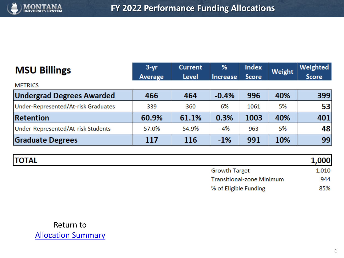

| <b>MSU Billings</b>                 | $3 - yr$       | <b>Current</b> | %               | <b>Index</b> | Weight | Weighted     |
|-------------------------------------|----------------|----------------|-----------------|--------------|--------|--------------|
|                                     | <b>Average</b> | Level          | <b>Increase</b> | <b>Score</b> |        | <b>Score</b> |
| <b>METRICS</b>                      |                |                |                 |              |        |              |
| <b>Undergrad Degrees Awarded</b>    | 466            | 464            | $-0.4%$         | 996          | 40%    | 399          |
| Under-Represented/At-risk Graduates | 339            | 360            | 6%              | 1061         | 5%     | 53           |
| Retention                           | 60.9%          | 61.1%          | 0.3%            | 1003         | 40%    | 401          |
| Under-Represented/At-risk Students  | 57.0%          | 54.9%          | -4%             | 963          | 5%     | 48           |
| <b>Graduate Degrees</b>             | 117            | 116            | $-1%$           | 991          | 10%    | 99           |

| <b>TOTAL</b> |                                  | 1,000 |
|--------------|----------------------------------|-------|
|              | <b>Growth Target</b>             | 1,010 |
|              | <b>Transitional-zone Minimum</b> | 944   |
|              | % of Eligible Funding            | 85%   |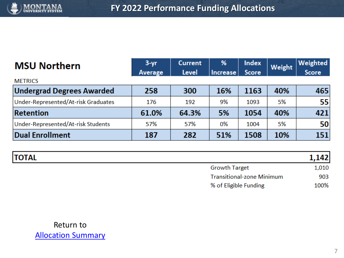

| <b>MSU Northern</b>                 | $3 - yr$       | <b>Current</b> | %               | <b>Index</b> | Weight | Weighted     |
|-------------------------------------|----------------|----------------|-----------------|--------------|--------|--------------|
|                                     | <b>Average</b> | Level          | <b>Increase</b> | <b>Score</b> |        | <b>Score</b> |
| <b>METRICS</b>                      |                |                |                 |              |        |              |
| <b>Undergrad Degrees Awarded</b>    | 258            | 300            | 16%             | 1163         | 40%    | 465          |
| Under-Represented/At-risk Graduates | 176            | 192            | 9%              | 1093         | 5%     | 55           |
| <b>Retention</b>                    | 61.0%          | 64.3%          | 5%              | 1054         | 40%    | 421          |
| Under-Represented/At-risk Students  | 57%            | 57%            | 0%              | 1004         | 5%     | 50           |
| <b>Dual Enrollment</b>              | 187            | 282            | 51%             | 1508         | 10%    | 151          |

| <b>TOTAL</b> |                                  | 1,142 |
|--------------|----------------------------------|-------|
|              | <b>Growth Target</b>             | 1,010 |
|              | <b>Transitional-zone Minimum</b> | 903   |
|              | % of Eligible Funding            | 100%  |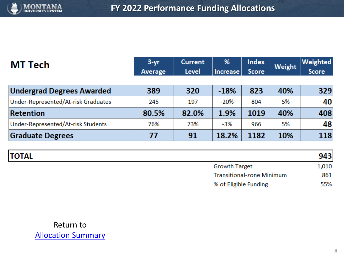

| MT Tech                             | $3 - yr$<br>Average | <b>Current</b><br><b>Level</b> | %<br><b>Increase</b> | <b>Index</b><br><b>Score</b> | Weight | Weighted<br><b>Score</b> |
|-------------------------------------|---------------------|--------------------------------|----------------------|------------------------------|--------|--------------------------|
| <b>Undergrad Degrees Awarded</b>    | 389                 | 320                            | $-18%$               | 823                          | 40%    | 329                      |
| Under-Represented/At-risk Graduates | 245                 | 197                            | $-20%$               | 804                          | 5%     | 40                       |
| <b>Retention</b>                    | 80.5%               | 82.0%                          | 1.9%                 | 1019                         | 40%    | 408                      |
| Under-Represented/At-risk Students  | 76%                 | 73%                            | $-3%$                | 966                          | 5%     | 48                       |
| <b>Graduate Degrees</b>             | 77                  | 91                             | 18.2%                | 1182                         | 10%    | 118                      |

| <b>TOTAL</b> |                                  | 943   |
|--------------|----------------------------------|-------|
|              | <b>Growth Target</b>             | 1,010 |
|              | <b>Transitional-zone Minimum</b> | 861   |
|              | % of Eligible Funding            | 55%   |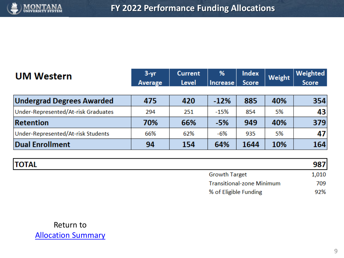

| <b>UM Western</b>                   | $3 - yr$<br>Average | <b>Current</b><br>Level | %<br>Increase | <b>Index</b><br><b>Score</b> | Weight | Weighted<br><b>Score</b> |
|-------------------------------------|---------------------|-------------------------|---------------|------------------------------|--------|--------------------------|
| <b>Undergrad Degrees Awarded</b>    | 475                 | 420                     | $-12%$        | 885                          | 40%    | 354                      |
| Under-Represented/At-risk Graduates | 294                 | 251                     | $-15%$        | 854                          | 5%     | 43                       |
| <b>Retention</b>                    | 70%                 | 66%                     | $-5%$         | 949                          | 40%    | 379                      |
| Under-Represented/At-risk Students  | 66%                 | 62%                     | -6%           | 935                          | 5%     | 47                       |
| Dual Enrollment                     | 94                  | 154                     | 64%           | 1644                         | 10%    | 164                      |

| <b>TOTAL</b> |                                  | 987   |
|--------------|----------------------------------|-------|
|              | <b>Growth Target</b>             | 1,010 |
|              | <b>Transitional-zone Minimum</b> | 709   |
|              | % of Eligible Funding            | 92%   |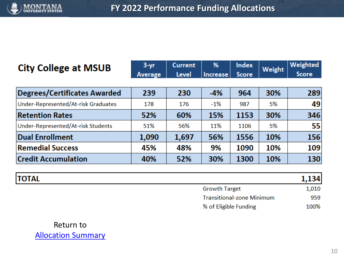

| <b>City College at MSUB</b>         | $3 - yr$ | <b>Current</b> | %               | <b>Index</b> | Weight | <b>Weighted</b> |
|-------------------------------------|----------|----------------|-----------------|--------------|--------|-----------------|
|                                     | Average  | Level          | <b>Increase</b> | <b>Score</b> |        | <b>Score</b>    |
|                                     |          |                |                 |              |        |                 |
| <b>Degrees/Certificates Awarded</b> | 239      | 230            | $-4%$           | 964          | 30%    | 289             |
| Under-Represented/At-risk Graduates | 178      | 176            | $-1%$           | 987          | 5%     | 49              |
| <b>Retention Rates</b>              | 52%      | 60%            | 15%             | 1153         | 30%    | 346             |
| Under-Represented/At-risk Students  | 51%      | 56%            | 11%             | 1106         | 5%     | 55              |
| <b>Dual Enrollment</b>              | 1,090    | 1,697          | 56%             | 1556         | 10%    | 156             |
| <b>Remedial Success</b>             | 45%      | 48%            | 9%              | 1090         | 10%    | 109             |
| <b>Credit Accumulation</b>          | 40%      | 52%            | 30%             | 1300         | 10%    | 130             |

| <b>TOTAL</b> |                                  | 1,134 |
|--------------|----------------------------------|-------|
|              | <b>Growth Target</b>             | 1,010 |
|              | <b>Transitional-zone Minimum</b> | 959   |
|              | % of Eligible Funding            | 100%  |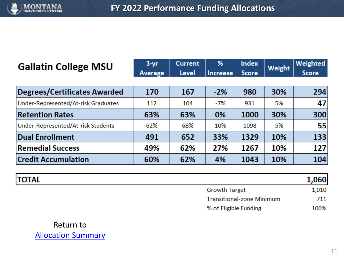

| <b>Gallatin College MSU</b>         | $3 - yr$<br>Average | <b>Current</b><br>Level | %<br><b>Increase</b> | <b>Index</b><br><b>Score</b> | Weight | Weighted<br><b>Score</b> |
|-------------------------------------|---------------------|-------------------------|----------------------|------------------------------|--------|--------------------------|
| <b>Degrees/Certificates Awarded</b> | 170                 | 167                     | $-2%$                | 980                          | 30%    | 294                      |
| Under-Represented/At-risk Graduates | 112                 | 104                     | $-7%$                | 931                          | 5%     | 47                       |
| <b>Retention Rates</b>              | 63%                 | 63%                     | 0%                   | 1000                         | 30%    | 300                      |
| Under-Represented/At-risk Students  | 62%                 | 68%                     | 10%                  | 1098                         | 5%     | 55                       |
| <b>Dual Enrollment</b>              | 491                 | 652                     | 33%                  | 1329                         | 10%    | 133                      |
| <b>Remedial Success</b>             | 49%                 | 62%                     | 27%                  | 1267                         | 10%    | 127                      |
| <b>Credit Accumulation</b>          | 60%                 | 62%                     | 4%                   | 1043                         | 10%    | 104                      |

| <b>TOTAL</b> |                                  | 1,060 |
|--------------|----------------------------------|-------|
|              | <b>Growth Target</b>             | 1,010 |
|              | <b>Transitional-zone Minimum</b> | 711   |
|              | % of Eligible Funding            | 100%  |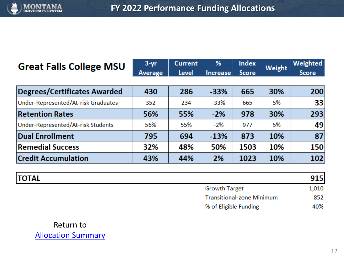

## Great Falls College MSU

| $3 - vr$ | <b>Current</b>               | % | Index | $\big $ Weight $\big $ Weighted |
|----------|------------------------------|---|-------|---------------------------------|
|          | Average Level Increase Score |   |       | <b>Score</b>                    |

| Degrees/Certificates Awarded        | 430 | 286 | $-33%$ | 665  | 30% | 200             |
|-------------------------------------|-----|-----|--------|------|-----|-----------------|
| Under-Represented/At-risk Graduates | 352 | 234 | $-33%$ | 665  | 5%  | 33 <sup>1</sup> |
| <b>Retention Rates</b>              | 56% | 55% | $-2%$  | 978  | 30% | 293             |
| Under-Represented/At-risk Students  | 56% | 55% | $-2%$  | 977  | 5%  | 49              |
| <b>Dual Enrollment</b>              | 795 | 694 | $-13%$ | 873  | 10% | 87              |
| <b>Remedial Success</b>             | 32% | 48% | 50%    | 1503 | 10% | 150             |
| <b>Credit Accumulation</b>          | 43% | 44% | 2%     | 1023 | 10% | 102             |

| <b>TOTAL</b> |                                  | 915I  |
|--------------|----------------------------------|-------|
|              | <b>Growth Target</b>             | 1,010 |
|              | <b>Transitional-zone Minimum</b> | 852   |
|              | % of Eligible Funding            | 40%   |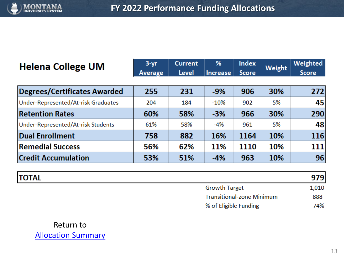

| <b>Helena College UM</b>            | $3 - yr$<br><b>Average</b> | <b>Current</b><br><b>Level</b> | %<br><b>Increase</b> | Index<br><b>Score</b> | Weight | Weighted<br><b>Score</b> |
|-------------------------------------|----------------------------|--------------------------------|----------------------|-----------------------|--------|--------------------------|
| <b>Degrees/Certificates Awarded</b> | 255                        | 231                            | $-9%$                | 906                   | 30%    | 272                      |
| Under-Represented/At-risk Graduates | 204                        | 184                            | $-10%$               | 902                   | 5%     | 45                       |
| <b>Retention Rates</b>              | 60%                        | 58%                            | $-3%$                | 966                   | 30%    | 290                      |
| Under-Represented/At-risk Students  | 61%                        | 58%                            | $-4%$                | 961                   | 5%     | 48                       |
| <b>Dual Enrollment</b>              | 758                        | 882                            | 16%                  | 1164                  | 10%    | 116                      |
| <b>Remedial Success</b>             | 56%                        | 62%                            | 11%                  | 1110                  | 10%    | 111                      |
| <b>Credit Accumulation</b>          | 53%                        | 51%                            | $-4%$                | 963                   | 10%    | 96                       |

| <b>TOTAL</b> |                                  | 979   |
|--------------|----------------------------------|-------|
|              | <b>Growth Target</b>             | 1,010 |
|              | <b>Transitional-zone Minimum</b> | 888   |
|              | % of Eligible Funding            | 74%   |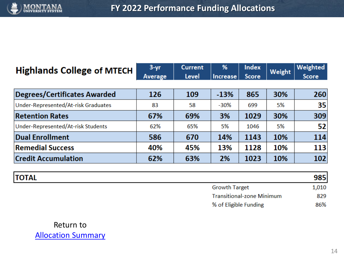

| <b>Highlands College of MTECH</b>   | $3 - yr$ | <b>Current</b> | %               | <b>Index</b> | Weight | Weighted     |
|-------------------------------------|----------|----------------|-----------------|--------------|--------|--------------|
|                                     | Average  | Level          | <b>Increase</b> | <b>Score</b> |        | <b>Score</b> |
|                                     |          |                |                 |              |        |              |
| <b>Degrees/Certificates Awarded</b> | 126      | 109            | $-13%$          | 865          | 30%    | 260          |
| Under-Represented/At-risk Graduates | 83       | 58             | $-30%$          | 699          | 5%     | 35           |
| <b>Retention Rates</b>              | 67%      | 69%            | 3%              | 1029         | 30%    | 309          |
| Under-Represented/At-risk Students  | 62%      | 65%            | 5%              | 1046         | 5%     | 52           |
| <b>Dual Enrollment</b>              | 586      | 670            | 14%             | 1143         | 10%    | 114          |
| <b>Remedial Success</b>             | 40%      | 45%            | 13%             | 1128         | 10%    | 113          |
| <b>Credit Accumulation</b>          | 62%      | 63%            | 2%              | 1023         | 10%    | 102          |

| <b>TOTAL</b> |                                  | 985   |
|--------------|----------------------------------|-------|
|              | <b>Growth Target</b>             | 1,010 |
|              | <b>Transitional-zone Minimum</b> | 829   |
|              | % of Eligible Funding            | 86%   |